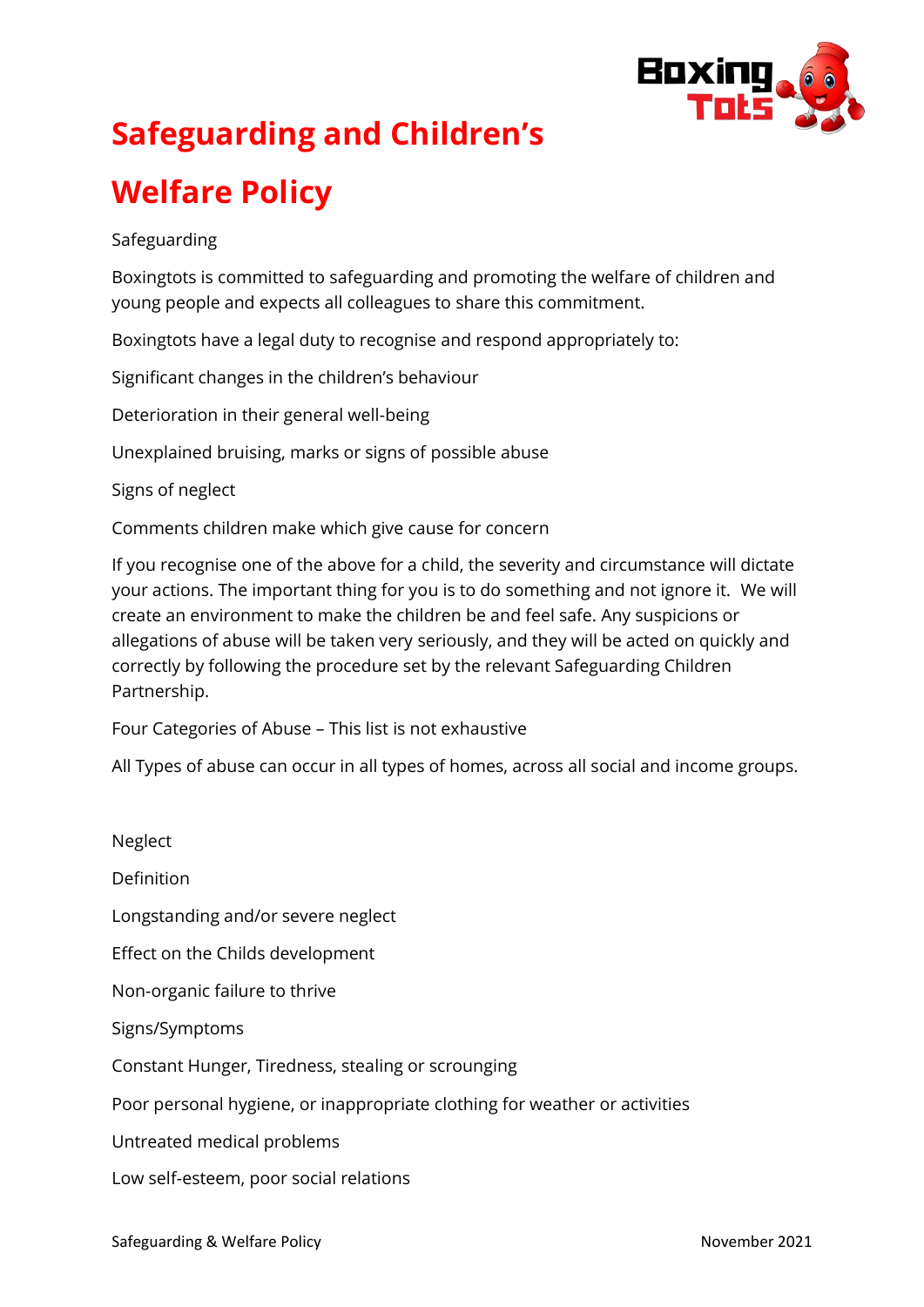

# **Safeguarding and Children's**

# **Welfare Policy**

# Safeguarding

Boxingtots is committed to safeguarding and promoting the welfare of children and young people and expects all colleagues to share this commitment.

Boxingtots have a legal duty to recognise and respond appropriately to:

Significant changes in the children's behaviour

Deterioration in their general well-being

Unexplained bruising, marks or signs of possible abuse

Signs of neglect

Comments children make which give cause for concern

If you recognise one of the above for a child, the severity and circumstance will dictate your actions. The important thing for you is to do something and not ignore it. We will create an environment to make the children be and feel safe. Any suspicions or allegations of abuse will be taken very seriously, and they will be acted on quickly and correctly by following the procedure set by the relevant Safeguarding Children Partnership.

Four Categories of Abuse – This list is not exhaustive

All Types of abuse can occur in all types of homes, across all social and income groups.

Neglect Definition Longstanding and/or severe neglect Effect on the Childs development Non-organic failure to thrive Signs/Symptoms Constant Hunger, Tiredness, stealing or scrounging Poor personal hygiene, or inappropriate clothing for weather or activities Untreated medical problems Low self-esteem, poor social relations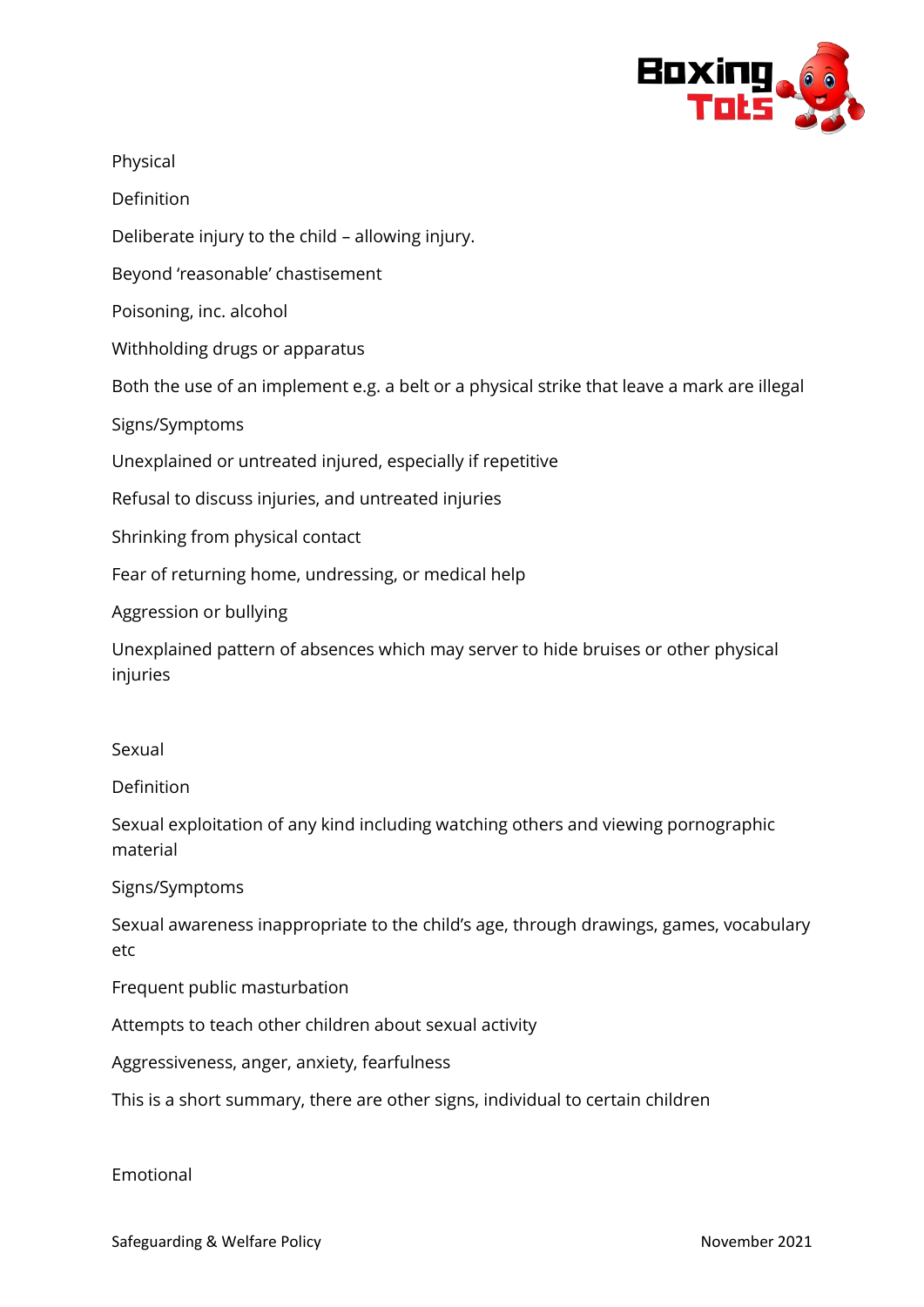

Physical

Definition

Deliberate injury to the child – allowing injury.

Beyond 'reasonable' chastisement

Poisoning, inc. alcohol

Withholding drugs or apparatus

Both the use of an implement e.g. a belt or a physical strike that leave a mark are illegal

Signs/Symptoms

Unexplained or untreated injured, especially if repetitive

Refusal to discuss injuries, and untreated injuries

Shrinking from physical contact

Fear of returning home, undressing, or medical help

Aggression or bullying

Unexplained pattern of absences which may server to hide bruises or other physical injuries

#### Sexual

#### Definition

Sexual exploitation of any kind including watching others and viewing pornographic material

#### Signs/Symptoms

Sexual awareness inappropriate to the child's age, through drawings, games, vocabulary etc

Frequent public masturbation

Attempts to teach other children about sexual activity

Aggressiveness, anger, anxiety, fearfulness

This is a short summary, there are other signs, individual to certain children

#### Emotional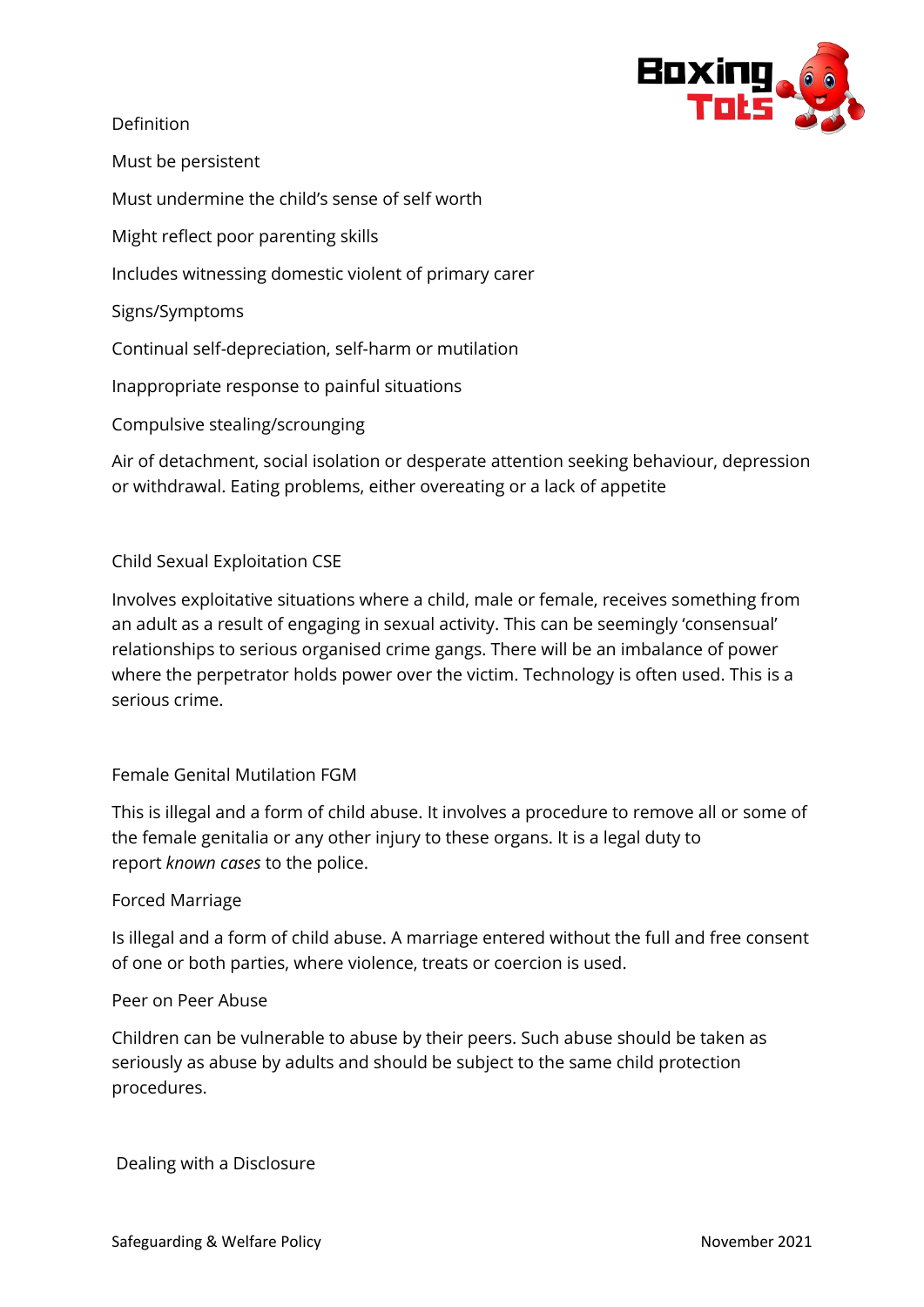

Definition

Must be persistent

Must undermine the child's sense of self worth

Might reflect poor parenting skills

Includes witnessing domestic violent of primary carer

Signs/Symptoms

Continual self-depreciation, self-harm or mutilation

Inappropriate response to painful situations

Compulsive stealing/scrounging

Air of detachment, social isolation or desperate attention seeking behaviour, depression or withdrawal. Eating problems, either overeating or a lack of appetite

## Child Sexual Exploitation CSE

Involves exploitative situations where a child, male or female, receives something from an adult as a result of engaging in sexual activity. This can be seemingly 'consensual' relationships to serious organised crime gangs. There will be an imbalance of power where the perpetrator holds power over the victim. Technology is often used. This is a serious crime.

## Female Genital Mutilation FGM

This is illegal and a form of child abuse. It involves a procedure to remove all or some of the female genitalia or any other injury to these organs. It is a legal duty to report *known cases* to the police.

#### Forced Marriage

Is illegal and a form of child abuse. A marriage entered without the full and free consent of one or both parties, where violence, treats or coercion is used.

#### Peer on Peer Abuse

Children can be vulnerable to abuse by their peers. Such abuse should be taken as seriously as abuse by adults and should be subject to the same child protection procedures.

Dealing with a Disclosure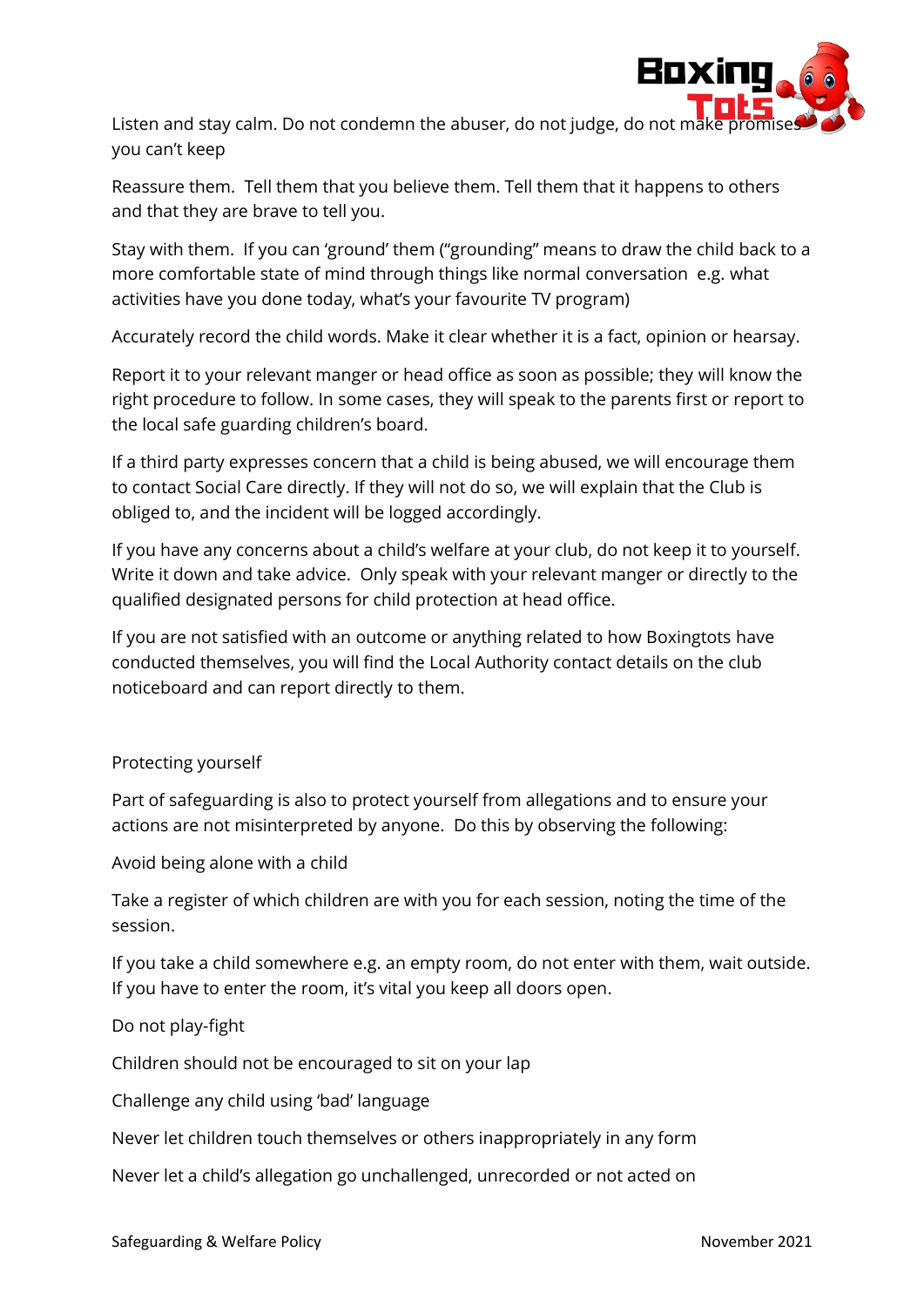

Listen and stay calm. Do not condemn the abuser, do not judge, do not ma you can't keep

Reassure them. Tell them that you believe them. Tell them that it happens to others and that they are brave to tell you.

Stay with them. If you can 'ground' them ("grounding" means to draw the child back to a more comfortable state of mind through things like normal conversation e.g. what activities have you done today, what's your favourite TV program)

Accurately record the child words. Make it clear whether it is a fact, opinion or hearsay.

Report it to your relevant manger or head office as soon as possible; they will know the right procedure to follow. In some cases, they will speak to the parents first or report to the local safe guarding children's board.

If a third party expresses concern that a child is being abused, we will encourage them to contact Social Care directly. If they will not do so, we will explain that the Club is obliged to, and the incident will be logged accordingly.

If you have any concerns about a child's welfare at your club, do not keep it to yourself. Write it down and take advice. Only speak with your relevant manger or directly to the qualified designated persons for child protection at head office.

If you are not satisfied with an outcome or anything related to how Boxingtots have conducted themselves, you will find the Local Authority contact details on the club noticeboard and can report directly to them.

# Protecting yourself

Part of safeguarding is also to protect yourself from allegations and to ensure your actions are not misinterpreted by anyone. Do this by observing the following:

Avoid being alone with a child

Take a register of which children are with you for each session, noting the time of the session.

If you take a child somewhere e.g. an empty room, do not enter with them, wait outside. If you have to enter the room, it's vital you keep all doors open.

# Do not play-fight

Children should not be encouraged to sit on your lap

Challenge any child using 'bad' language

Never let children touch themselves or others inappropriately in any form

Never let a child's allegation go unchallenged, unrecorded or not acted on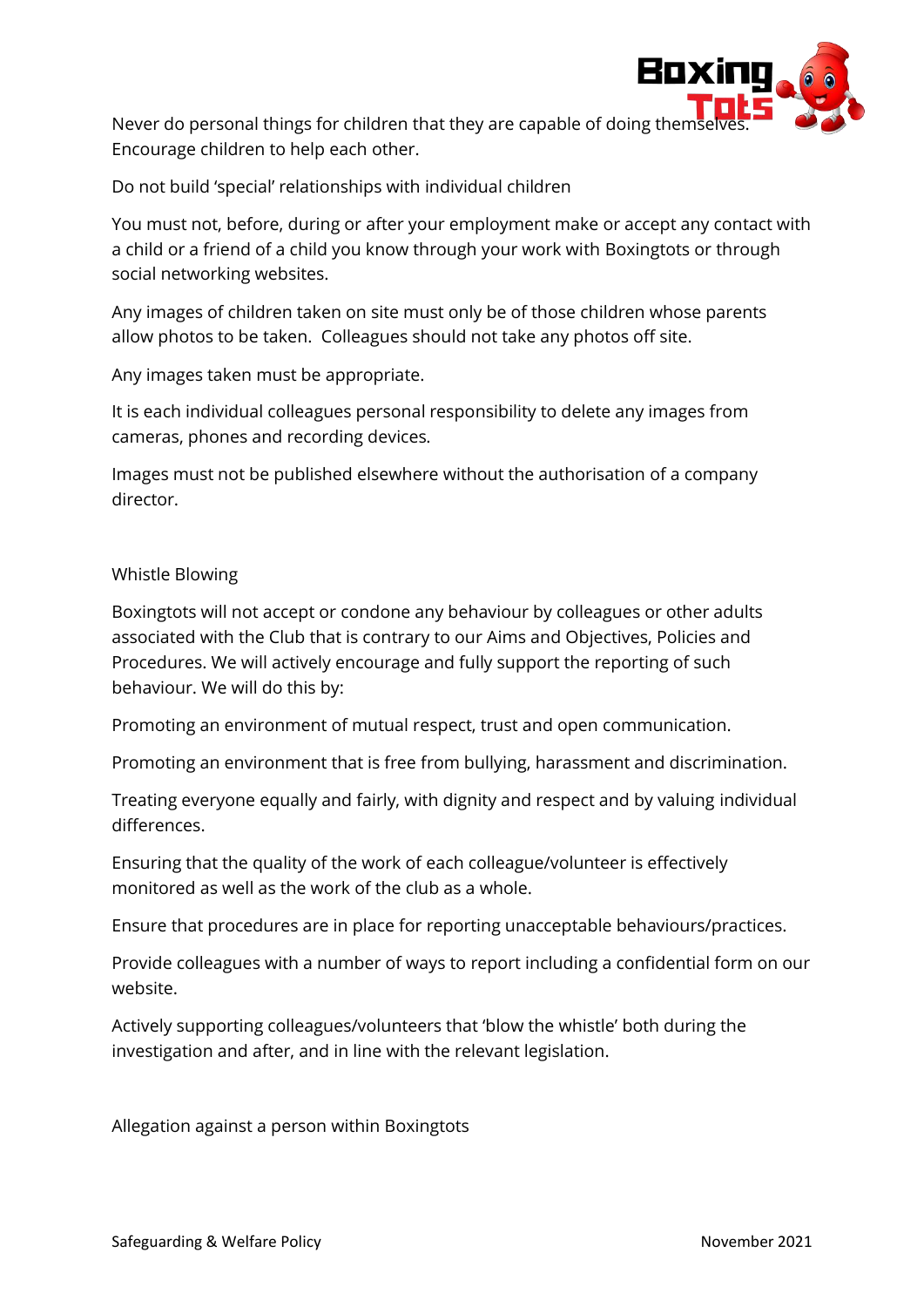

Never do personal things for children that they are capable of doing them Encourage children to help each other.

Do not build 'special' relationships with individual children

You must not, before, during or after your employment make or accept any contact with a child or a friend of a child you know through your work with Boxingtots or through social networking websites.

Any images of children taken on site must only be of those children whose parents allow photos to be taken. Colleagues should not take any photos off site.

Any images taken must be appropriate.

It is each individual colleagues personal responsibility to delete any images from cameras, phones and recording devices.

Images must not be published elsewhere without the authorisation of a company director.

## Whistle Blowing

Boxingtots will not accept or condone any behaviour by colleagues or other adults associated with the Club that is contrary to our Aims and Objectives, Policies and Procedures. We will actively encourage and fully support the reporting of such behaviour. We will do this by:

Promoting an environment of mutual respect, trust and open communication.

Promoting an environment that is free from bullying, harassment and discrimination.

Treating everyone equally and fairly, with dignity and respect and by valuing individual differences.

Ensuring that the quality of the work of each colleague/volunteer is effectively monitored as well as the work of the club as a whole.

Ensure that procedures are in place for reporting unacceptable behaviours/practices.

Provide colleagues with a number of ways to report including a confidential form on our website.

Actively supporting colleagues/volunteers that 'blow the whistle' both during the investigation and after, and in line with the relevant legislation.

Allegation against a person within Boxingtots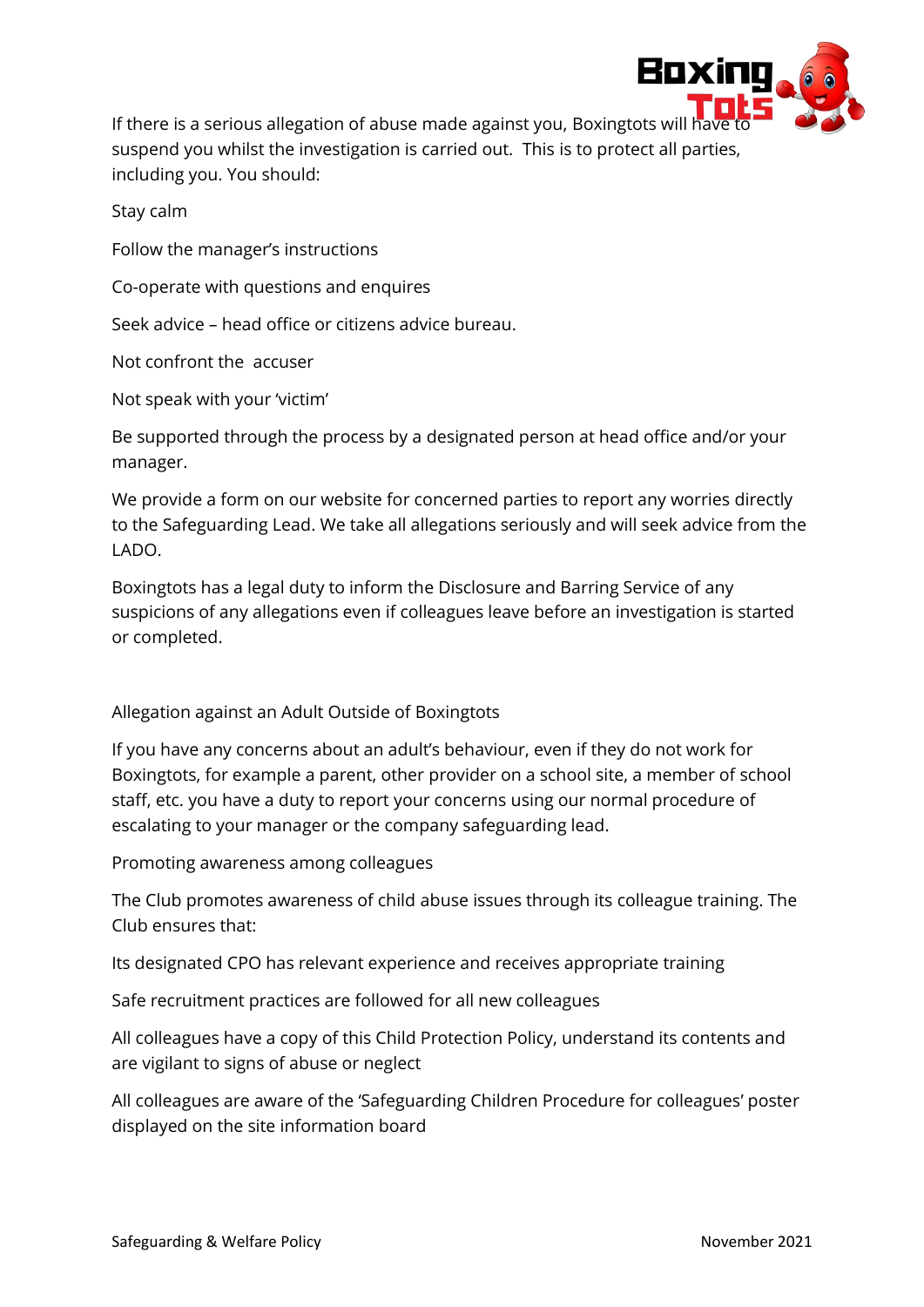

If there is a serious allegation of abuse made against you, Boxingtots will h suspend you whilst the investigation is carried out. This is to protect all parties, including you. You should:

Stay calm

Follow the manager's instructions

Co-operate with questions and enquires

Seek advice – head office or citizens advice bureau.

Not confront the accuser

Not speak with your 'victim'

Be supported through the process by a designated person at head office and/or your manager.

We provide a form on our website for concerned parties to report any worries directly to the Safeguarding Lead. We take all allegations seriously and will seek advice from the LADO.

Boxingtots has a legal duty to inform the Disclosure and Barring Service of any suspicions of any allegations even if colleagues leave before an investigation is started or completed.

## Allegation against an Adult Outside of Boxingtots

If you have any concerns about an adult's behaviour, even if they do not work for Boxingtots, for example a parent, other provider on a school site, a member of school staff, etc. you have a duty to report your concerns using our normal procedure of escalating to your manager or the company safeguarding lead.

Promoting awareness among colleagues

The Club promotes awareness of child abuse issues through its colleague training. The Club ensures that:

Its designated CPO has relevant experience and receives appropriate training

Safe recruitment practices are followed for all new colleagues

All colleagues have a copy of this Child Protection Policy, understand its contents and are vigilant to signs of abuse or neglect

All colleagues are aware of the 'Safeguarding Children Procedure for colleagues' poster displayed on the site information board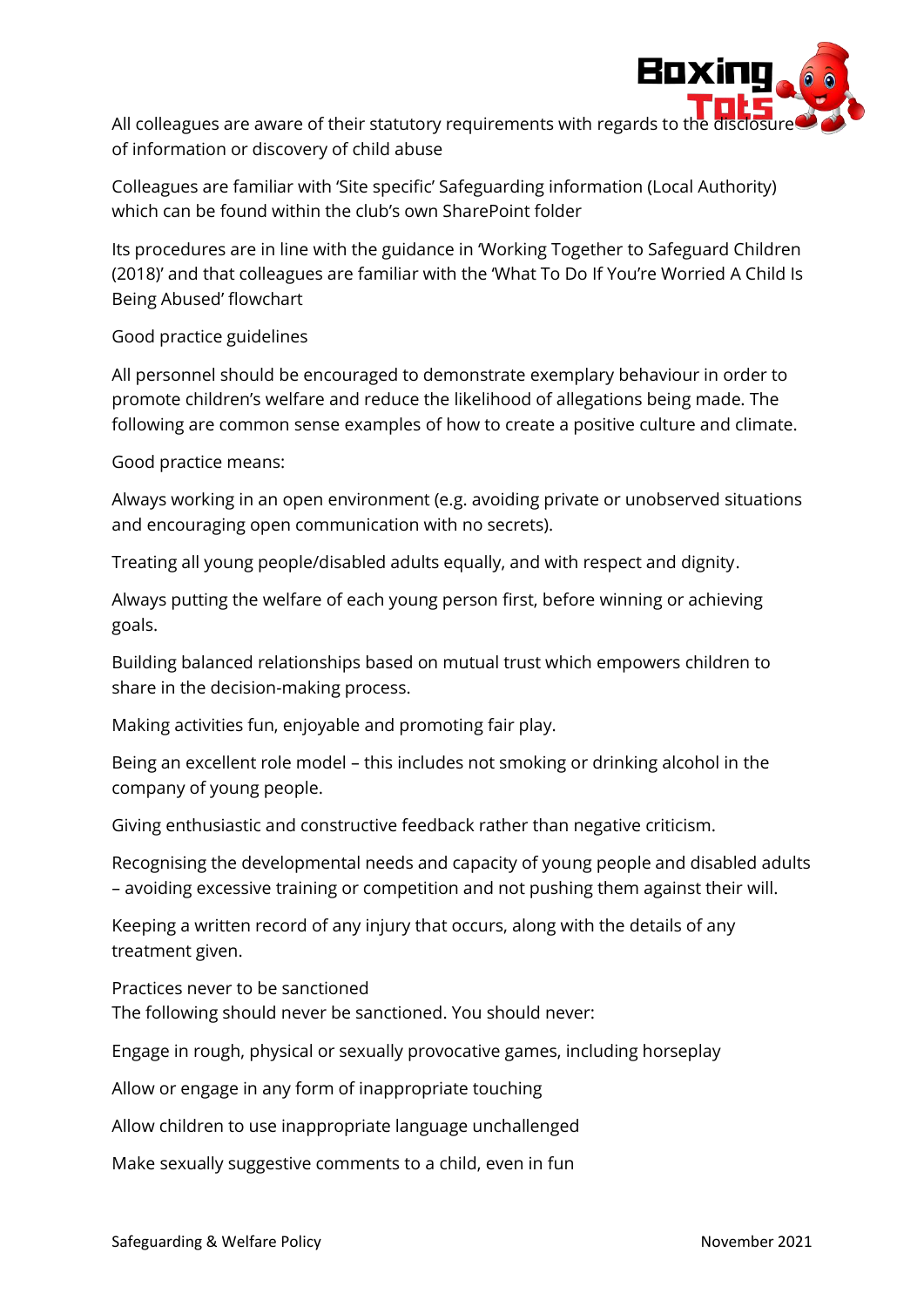

All colleagues are aware of their statutory requirements with regards to the of information or discovery of child abuse

Colleagues are familiar with 'Site specific' Safeguarding information (Local Authority) which can be found within the club's own SharePoint folder

Its procedures are in line with the guidance in 'Working Together to Safeguard Children (2018)' and that colleagues are familiar with the 'What To Do If You're Worried A Child Is Being Abused' flowchart

Good practice guidelines

All personnel should be encouraged to demonstrate exemplary behaviour in order to promote children's welfare and reduce the likelihood of allegations being made. The following are common sense examples of how to create a positive culture and climate.

Good practice means:

Always working in an open environment (e.g. avoiding private or unobserved situations and encouraging open communication with no secrets).

Treating all young people/disabled adults equally, and with respect and dignity.

Always putting the welfare of each young person first, before winning or achieving goals.

Building balanced relationships based on mutual trust which empowers children to share in the decision-making process.

Making activities fun, enjoyable and promoting fair play.

Being an excellent role model – this includes not smoking or drinking alcohol in the company of young people.

Giving enthusiastic and constructive feedback rather than negative criticism.

Recognising the developmental needs and capacity of young people and disabled adults – avoiding excessive training or competition and not pushing them against their will.

Keeping a written record of any injury that occurs, along with the details of any treatment given.

Practices never to be sanctioned

The following should never be sanctioned. You should never:

Engage in rough, physical or sexually provocative games, including horseplay

Allow or engage in any form of inappropriate touching

Allow children to use inappropriate language unchallenged

Make sexually suggestive comments to a child, even in fun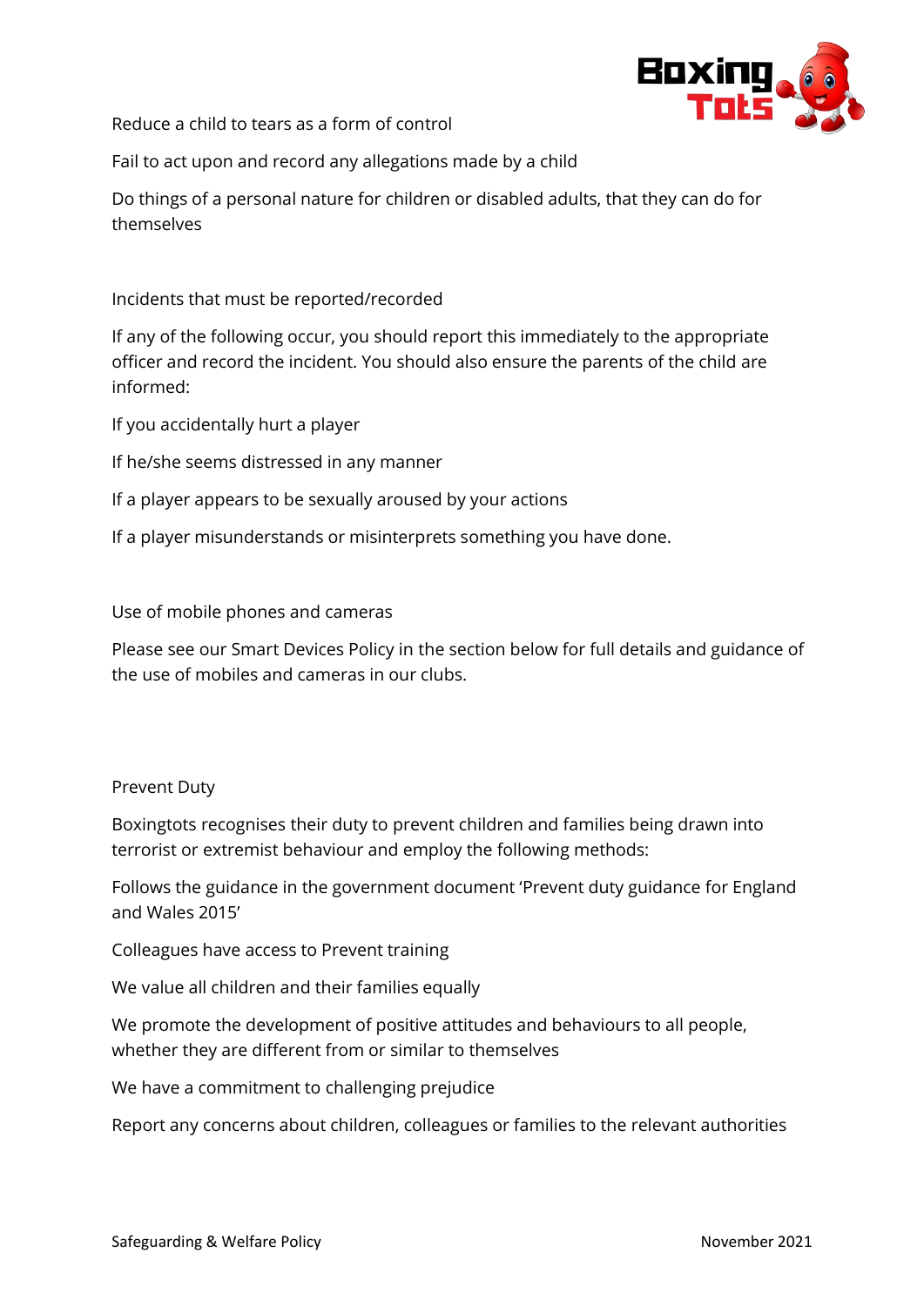

Reduce a child to tears as a form of control

Fail to act upon and record any allegations made by a child

Do things of a personal nature for children or disabled adults, that they can do for themselves

Incidents that must be reported/recorded

If any of the following occur, you should report this immediately to the appropriate officer and record the incident. You should also ensure the parents of the child are informed:

If you accidentally hurt a player

If he/she seems distressed in any manner

If a player appears to be sexually aroused by your actions

If a player misunderstands or misinterprets something you have done.

Use of mobile phones and cameras

Please see our Smart Devices Policy in the section below for full details and guidance of the use of mobiles and cameras in our clubs.

#### Prevent Duty

Boxingtots recognises their duty to prevent children and families being drawn into terrorist or extremist behaviour and employ the following methods:

Follows the guidance in the government document 'Prevent duty guidance for England and Wales 2015'

Colleagues have access to Prevent training

We value all children and their families equally

We promote the development of positive attitudes and behaviours to all people, whether they are different from or similar to themselves

We have a commitment to challenging prejudice

Report any concerns about children, colleagues or families to the relevant authorities